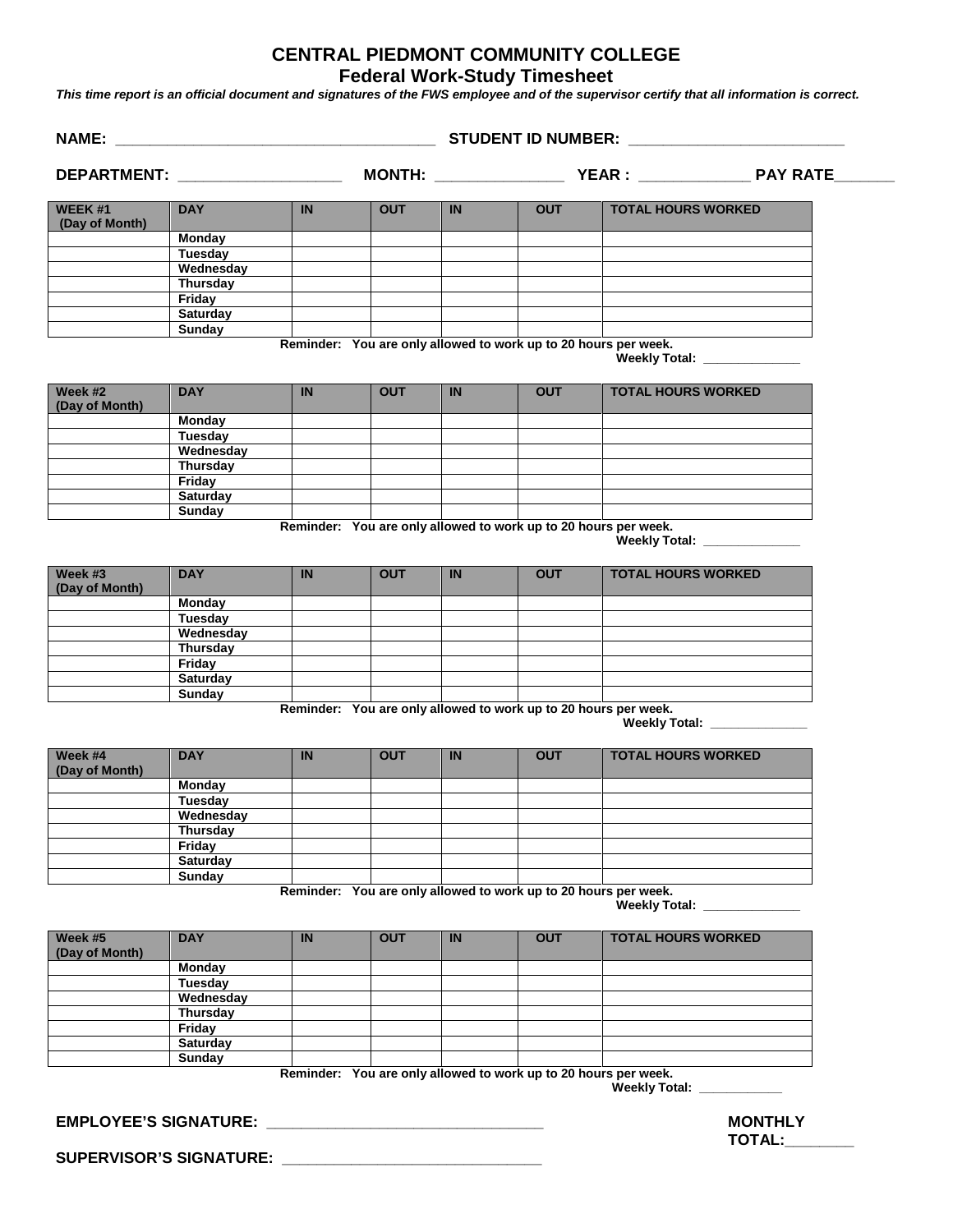## **CENTRAL PIEDMONT COMMUNITY COLLEGE Federal Work-Study Timesheet**

*This time report is an official document and signatures of the FWS employee and of the supervisor certify that all information is correct.*

|                                                        |                       | DEPARTMENT: _________________ |            |           |            |                                                                                                                              |
|--------------------------------------------------------|-----------------------|-------------------------------|------------|-----------|------------|------------------------------------------------------------------------------------------------------------------------------|
|                                                        |                       |                               |            |           |            |                                                                                                                              |
| WEEK #1<br>(Day of Month)                              | <b>DAY</b>            | IN                            | <b>OUT</b> | IN        | <b>OUT</b> | <b>TOTAL HOURS WORKED</b>                                                                                                    |
|                                                        | Monday                |                               |            |           |            |                                                                                                                              |
|                                                        | Tuesday               |                               |            |           |            |                                                                                                                              |
|                                                        | Wednesday<br>Thursday |                               |            |           |            |                                                                                                                              |
|                                                        | Friday                |                               |            |           |            |                                                                                                                              |
|                                                        | <b>Saturday</b>       |                               |            |           |            |                                                                                                                              |
|                                                        | Sunday                |                               |            |           |            |                                                                                                                              |
|                                                        |                       |                               |            |           |            | Reminder: You are only allowed to work up to 20 hours per week.<br>Weekly Total: New York Property                           |
| Week #2<br>(Day of Month)                              | <b>DAY</b>            | <b>IN</b>                     | <b>OUT</b> | <b>IN</b> | <b>OUT</b> | <b>TOTAL HOURS WORKED</b>                                                                                                    |
|                                                        | Monday                |                               |            |           |            |                                                                                                                              |
|                                                        | Tuesday               |                               |            |           |            |                                                                                                                              |
|                                                        | Wednesday             |                               |            |           |            |                                                                                                                              |
|                                                        | Thursday              |                               |            |           |            |                                                                                                                              |
|                                                        | Friday<br>Saturday    |                               |            |           |            |                                                                                                                              |
|                                                        | <b>Sunday</b>         |                               |            |           |            |                                                                                                                              |
| Week #3                                                | <b>DAY</b>            | <b>IN</b>                     | <b>OUT</b> | IN        | <b>OUT</b> | Reminder: You are only allowed to work up to 20 hours per week.<br>Weekly Total: ______________<br><b>TOTAL HOURS WORKED</b> |
| (Day of Month)                                         |                       |                               |            |           |            |                                                                                                                              |
|                                                        | Monday                |                               |            |           |            |                                                                                                                              |
|                                                        | Tuesday               |                               |            |           |            |                                                                                                                              |
|                                                        | Wednesday<br>Thursday |                               |            |           |            |                                                                                                                              |
|                                                        | Friday                |                               |            |           |            |                                                                                                                              |
|                                                        | <b>Saturday</b>       |                               |            |           |            |                                                                                                                              |
|                                                        | <b>Sunday</b>         |                               |            |           |            |                                                                                                                              |
|                                                        |                       |                               |            |           |            | Reminder: You are only allowed to work up to 20 hours per week.                                                              |
|                                                        |                       |                               |            |           |            | Weekly Total: ______________                                                                                                 |
|                                                        | <b>DAY</b>            | <b>IN</b>                     | <b>OUT</b> | <b>IN</b> | <b>OUT</b> | <b>TOTAL HOURS WORKED</b>                                                                                                    |
|                                                        | <b>Monday</b>         |                               |            |           |            |                                                                                                                              |
|                                                        | Tuesday               |                               |            |           |            |                                                                                                                              |
|                                                        | Wednesday             |                               |            |           |            |                                                                                                                              |
|                                                        | <b>Thursday</b>       |                               |            |           |            |                                                                                                                              |
|                                                        | Friday                |                               |            |           |            |                                                                                                                              |
|                                                        | Saturday              |                               |            |           |            |                                                                                                                              |
|                                                        | Sunday                |                               |            |           |            | Reminder: You are only allowed to work up to 20 hours per week.<br>Weekly Total: New York Property                           |
|                                                        | <b>DAY</b>            | IN                            | <b>OUT</b> | <b>IN</b> | <b>OUT</b> | <b>TOTAL HOURS WORKED</b>                                                                                                    |
|                                                        | Monday                |                               |            |           |            |                                                                                                                              |
|                                                        | Tuesday               |                               |            |           |            |                                                                                                                              |
|                                                        | Wednesday             |                               |            |           |            |                                                                                                                              |
|                                                        | Thursday              |                               |            |           |            |                                                                                                                              |
|                                                        | Friday                |                               |            |           |            |                                                                                                                              |
|                                                        | <b>Saturday</b>       |                               |            |           |            |                                                                                                                              |
| Week #4<br>(Day of Month)<br>Week #5<br>(Day of Month) | <b>Sunday</b>         |                               |            |           |            | Reminder: You are only allowed to work up to 20 hours per week.<br>Weekly Total: <u>______________</u>                       |